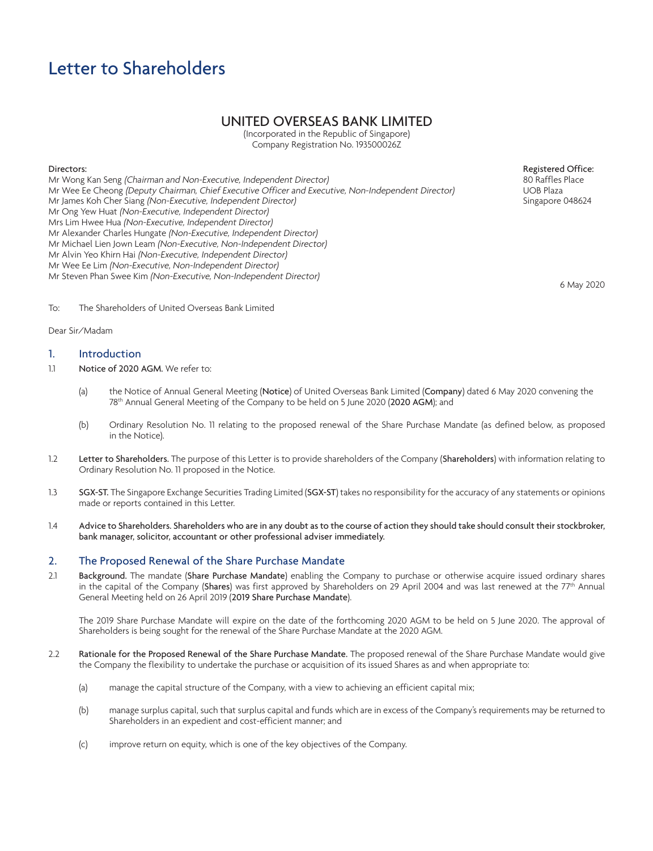# UNITED OVERSEAS BANK LIMITED

(Incorporated in the Republic of Singapore) Company Registration No. 193500026Z

# Directors:

Mr Wong Kan Seng (Chairman and Non-Executive, Independent Director) Mr Wee Ee Cheong (Deputy Chairman, Chief Executive Officer and Executive, Non-Independent Director) Mr James Koh Cher Siang (Non-Executive, Independent Director) Mr Ong Yew Huat (Non-Executive, Independent Director) Mrs Lim Hwee Hua (Non-Executive, Independent Director) Mr Alexander Charles Hungate (Non-Executive, Independent Director) Mr Michael Lien Jown Leam (Non-Executive, Non-Independent Director) Mr Alvin Yeo Khirn Hai (Non-Executive, Independent Director) Mr Wee Ee Lim (Non-Executive, Non-Independent Director) Mr Steven Phan Swee Kim (Non-Executive, Non-Independent Director)

Registered Office: 80 Raffles Place UOB Plaza Singapore 048624

6 May 2020

To: The Shareholders of United Overseas Bank Limited

# Dear Sir/Madam

# 1. Introduction

- 1.1 Notice of 2020 AGM. We refer to:
	- (a) the Notice of Annual General Meeting (Notice) of United Overseas Bank Limited (Company) dated 6 May 2020 convening the 78th Annual General Meeting of the Company to be held on 5 June 2020 (2020 AGM); and
	- (b) Ordinary Resolution No. 11 relating to the proposed renewal of the Share Purchase Mandate (as defined below, as proposed in the Notice).
- 1.2 Letter to Shareholders. The purpose of this Letter is to provide shareholders of the Company (Shareholders) with information relating to Ordinary Resolution No. 11 proposed in the Notice.
- 1.3 SGX-ST. The Singapore Exchange Securities Trading Limited (SGX-ST) takes no responsibility for the accuracy of any statements or opinions made or reports contained in this Letter.
- 1.4 Advice to Shareholders. Shareholders who are in any doubt as to the course of action they should take should consult their stockbroker, bank manager, solicitor, accountant or other professional adviser immediately.

# 2. The Proposed Renewal of the Share Purchase Mandate

2.1 Background. The mandate (Share Purchase Mandate) enabling the Company to purchase or otherwise acquire issued ordinary shares in the capital of the Company (Shares) was first approved by Shareholders on 29 April 2004 and was last renewed at the 77<sup>th</sup> Annual General Meeting held on 26 April 2019 (2019 Share Purchase Mandate).

The 2019 Share Purchase Mandate will expire on the date of the forthcoming 2020 AGM to be held on 5 June 2020. The approval of Shareholders is being sought for the renewal of the Share Purchase Mandate at the 2020 AGM.

- 2.2 Rationale for the Proposed Renewal of the Share Purchase Mandate. The proposed renewal of the Share Purchase Mandate would give the Company the flexibility to undertake the purchase or acquisition of its issued Shares as and when appropriate to:
	- (a) manage the capital structure of the Company, with a view to achieving an efficient capital mix;
	- (b) manage surplus capital, such that surplus capital and funds which are in excess of the Company's requirements may be returned to Shareholders in an expedient and cost-efficient manner; and
	- (c) improve return on equity, which is one of the key objectives of the Company.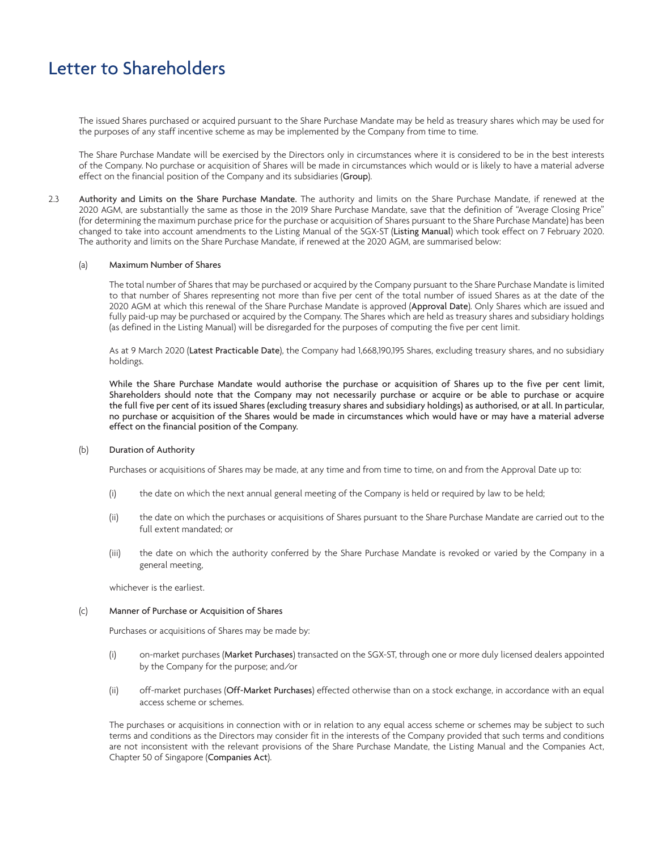The issued Shares purchased or acquired pursuant to the Share Purchase Mandate may be held as treasury shares which may be used for the purposes of any staff incentive scheme as may be implemented by the Company from time to time.

The Share Purchase Mandate will be exercised by the Directors only in circumstances where it is considered to be in the best interests of the Company. No purchase or acquisition of Shares will be made in circumstances which would or is likely to have a material adverse effect on the financial position of the Company and its subsidiaries (Group).

2.3 Authority and Limits on the Share Purchase Mandate. The authority and limits on the Share Purchase Mandate, if renewed at the 2020 AGM, are substantially the same as those in the 2019 Share Purchase Mandate, save that the definition of "Average Closing Price" (for determining the maximum purchase price for the purchase or acquisition of Shares pursuant to the Share Purchase Mandate) has been changed to take into account amendments to the Listing Manual of the SGX-ST (Listing Manual) which took effect on 7 February 2020. The authority and limits on the Share Purchase Mandate, if renewed at the 2020 AGM, are summarised below:

#### (a) Maximum Number of Shares

The total number of Shares that may be purchased or acquired by the Company pursuant to the Share Purchase Mandate is limited to that number of Shares representing not more than five per cent of the total number of issued Shares as at the date of the 2020 AGM at which this renewal of the Share Purchase Mandate is approved (Approval Date). Only Shares which are issued and fully paid-up may be purchased or acquired by the Company. The Shares which are held as treasury shares and subsidiary holdings (as defined in the Listing Manual) will be disregarded for the purposes of computing the five per cent limit.

As at 9 March 2020 (Latest Practicable Date), the Company had 1,668,190,195 Shares, excluding treasury shares, and no subsidiary holdings.

While the Share Purchase Mandate would authorise the purchase or acquisition of Shares up to the five per cent limit, Shareholders should note that the Company may not necessarily purchase or acquire or be able to purchase or acquire the full five per cent of its issued Shares (excluding treasury shares and subsidiary holdings) as authorised, or at all. In particular, no purchase or acquisition of the Shares would be made in circumstances which would have or may have a material adverse effect on the financial position of the Company.

### (b) Duration of Authority

Purchases or acquisitions of Shares may be made, at any time and from time to time, on and from the Approval Date up to:

- (i) the date on which the next annual general meeting of the Company is held or required by law to be held;
- (ii) the date on which the purchases or acquisitions of Shares pursuant to the Share Purchase Mandate are carried out to the full extent mandated; or
- (iii) the date on which the authority conferred by the Share Purchase Mandate is revoked or varied by the Company in a general meeting,

whichever is the earliest.

#### (c) Manner of Purchase or Acquisition of Shares

Purchases or acquisitions of Shares may be made by:

- (i) on-market purchases (Market Purchases) transacted on the SGX-ST, through one or more duly licensed dealers appointed by the Company for the purpose; and/or
- (ii) off-market purchases (Off-Market Purchases) effected otherwise than on a stock exchange, in accordance with an equal access scheme or schemes.

The purchases or acquisitions in connection with or in relation to any equal access scheme or schemes may be subject to such terms and conditions as the Directors may consider fit in the interests of the Company provided that such terms and conditions are not inconsistent with the relevant provisions of the Share Purchase Mandate, the Listing Manual and the Companies Act, Chapter 50 of Singapore (Companies Act).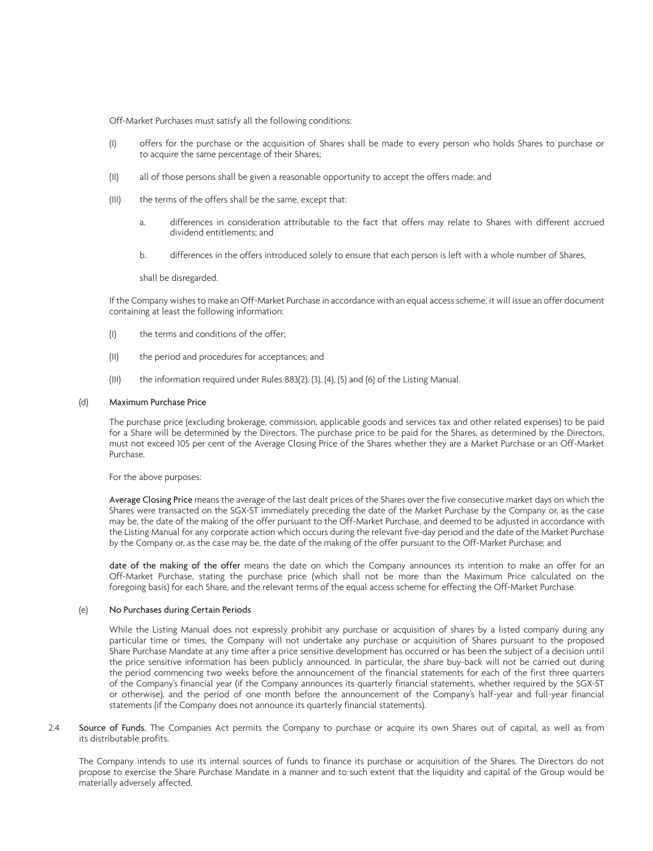Off-Market Purchases must satisfy all the following conditions:

- (I) offers for the purchase or the acquisition of Shares shall be made to every person who holds Shares to purchase or to acquire the same percentage of their Shares;
- (II) all of those persons shall be given a reasonable opportunity to accept the offers made; and
- (III) the terms of the offers shall be the same, except that:
	- a. differences in consideration attributable to the fact that offers may relate to Shares with different accrued dividend entitlements; and
	- b. differences in the offers introduced solely to ensure that each person is left with a whole number of Shares,

shall be disregarded.

If the Company wishes to make an Off-Market Purchase in accordance with an equal access scheme, it will issue an offer document containing at least the following information:

- (I) the terms and conditions of the offer;
- (II) the period and procedures for acceptances; and
- (III) the information required under Rules 883(2), (3), (4), (5) and (6) of the Listing Manual.

#### (d) Maximum Purchase Price

The purchase price (excluding brokerage, commission, applicable goods and services tax and other related expenses) to be paid for a Share will be determined by the Directors. The purchase price to be paid for the Shares, as determined by the Directors, must not exceed 105 per cent of the Average Closing Price of the Shares whether they are a Market Purchase or an Off-Market Purchase.

For the above purposes:

Average Closing Price means the average of the last dealt prices of the Shares over the five consecutive market days on which the Shares were transacted on the SGX-ST immediately preceding the date of the Market Purchase by the Company or, as the case may be, the date of the making of the offer pursuant to the Off-Market Purchase, and deemed to be adjusted in accordance with the Listing Manual for any corporate action which occurs during the relevant five-day period and the date of the Market Purchase by the Company or, as the case may be, the date of the making of the offer pursuant to the Off-Market Purchase; and

date of the making of the offer means the date on which the Company announces its intention to make an offer for an Off-Market Purchase, stating the purchase price (which shall not be more than the Maximum Price calculated on the foregoing basis) for each Share, and the relevant terms of the equal access scheme for effecting the Off-Market Purchase.

## (e) No Purchases during Certain Periods

While the Listing Manual does not expressly prohibit any purchase or acquisition of shares by a listed company during any particular time or times, the Company will not undertake any purchase or acquisition of Shares pursuant to the proposed Share Purchase Mandate at any time after a price sensitive development has occurred or has been the subject of a decision until the price sensitive information has been publicly announced. In particular, the share buy-back will not be carried out during the period commencing two weeks before the announcement of the financial statements for each of the first three quarters of the Company's financial year (if the Company announces its quarterly financial statements, whether required by the SGX-ST or otherwise), and the period of one month before the announcement of the Company's half-year and full-year financial statements (if the Company does not announce its quarterly financial statements).

2.4 Source of Funds. The Companies Act permits the Company to purchase or acquire its own Shares out of capital, as well as from its distributable profits.

The Company intends to use its internal sources of funds to finance its purchase or acquisition of the Shares. The Directors do not propose to exercise the Share Purchase Mandate in a manner and to such extent that the liquidity and capital of the Group would be materially adversely affected.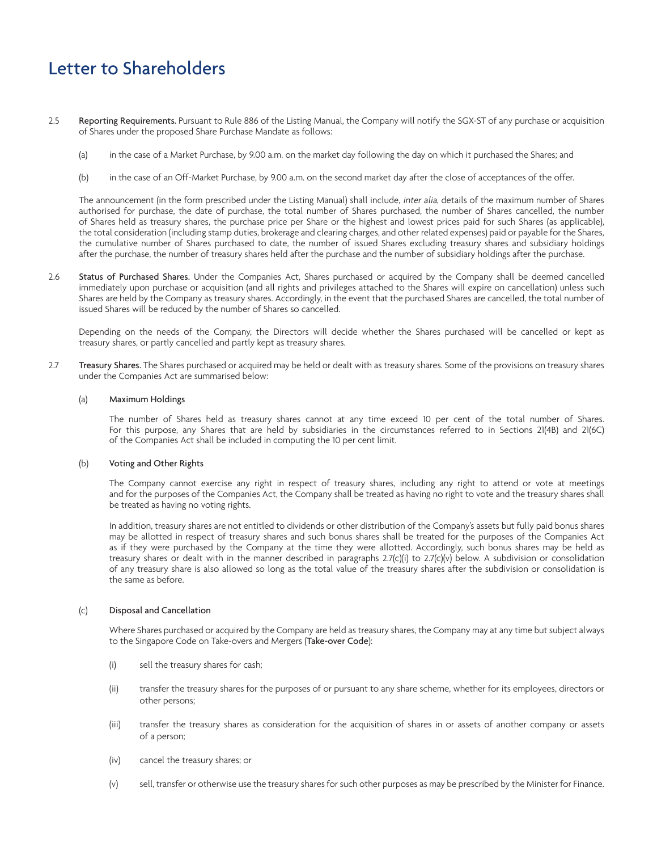- 2.5 Reporting Requirements. Pursuant to Rule 886 of the Listing Manual, the Company will notify the SGX-ST of any purchase or acquisition of Shares under the proposed Share Purchase Mandate as follows:
	- (a) in the case of a Market Purchase, by 9.00 a.m. on the market day following the day on which it purchased the Shares; and
	- (b) in the case of an Off-Market Purchase, by 9.00 a.m. on the second market day after the close of acceptances of the offer.

The announcement (in the form prescribed under the Listing Manual) shall include, inter alia, details of the maximum number of Shares authorised for purchase, the date of purchase, the total number of Shares purchased, the number of Shares cancelled, the number of Shares held as treasury shares, the purchase price per Share or the highest and lowest prices paid for such Shares (as applicable), the total consideration (including stamp duties, brokerage and clearing charges, and other related expenses) paid or payable for the Shares, the cumulative number of Shares purchased to date, the number of issued Shares excluding treasury shares and subsidiary holdings after the purchase, the number of treasury shares held after the purchase and the number of subsidiary holdings after the purchase.

2.6 Status of Purchased Shares. Under the Companies Act, Shares purchased or acquired by the Company shall be deemed cancelled immediately upon purchase or acquisition (and all rights and privileges attached to the Shares will expire on cancellation) unless such Shares are held by the Company as treasury shares. Accordingly, in the event that the purchased Shares are cancelled, the total number of issued Shares will be reduced by the number of Shares so cancelled.

Depending on the needs of the Company, the Directors will decide whether the Shares purchased will be cancelled or kept as treasury shares, or partly cancelled and partly kept as treasury shares.

2.7 Treasury Shares. The Shares purchased or acquired may be held or dealt with as treasury shares. Some of the provisions on treasury shares under the Companies Act are summarised below:

#### (a) Maximum Holdings

The number of Shares held as treasury shares cannot at any time exceed 10 per cent of the total number of Shares. For this purpose, any Shares that are held by subsidiaries in the circumstances referred to in Sections 21(4B) and 21(6C) of the Companies Act shall be included in computing the 10 per cent limit.

# (b) Voting and Other Rights

The Company cannot exercise any right in respect of treasury shares, including any right to attend or vote at meetings and for the purposes of the Companies Act, the Company shall be treated as having no right to vote and the treasury shares shall be treated as having no voting rights.

In addition, treasury shares are not entitled to dividends or other distribution of the Company's assets but fully paid bonus shares may be allotted in respect of treasury shares and such bonus shares shall be treated for the purposes of the Companies Act as if they were purchased by the Company at the time they were allotted. Accordingly, such bonus shares may be held as treasury shares or dealt with in the manner described in paragraphs 2.7(c)(i) to 2.7(c)(v) below. A subdivision or consolidation of any treasury share is also allowed so long as the total value of the treasury shares after the subdivision or consolidation is the same as before.

## (c) Disposal and Cancellation

Where Shares purchased or acquired by the Company are held as treasury shares, the Company may at any time but subject always to the Singapore Code on Take-overs and Mergers (Take-over Code):

- (i) sell the treasury shares for cash;
- (ii) transfer the treasury shares for the purposes of or pursuant to any share scheme, whether for its employees, directors or other persons;
- (iii) transfer the treasury shares as consideration for the acquisition of shares in or assets of another company or assets of a person;
- (iv) cancel the treasury shares; or
- (v) sell, transfer or otherwise use the treasury shares for such other purposes as may be prescribed by the Minister for Finance.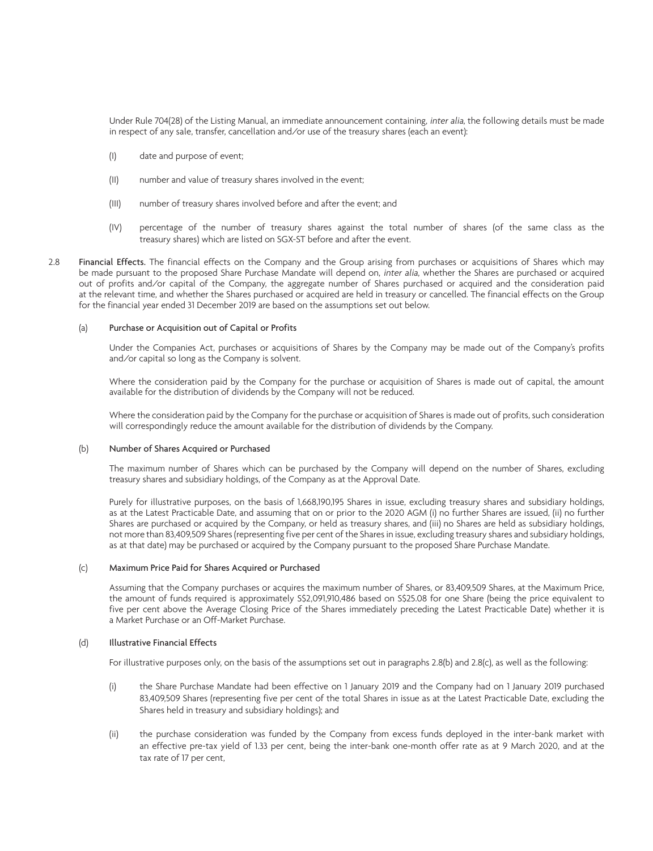Under Rule 704(28) of the Listing Manual, an immediate announcement containing, inter alia, the following details must be made in respect of any sale, transfer, cancellation and/or use of the treasury shares (each an event):

- (I) date and purpose of event;
- (II) number and value of treasury shares involved in the event;
- (III) number of treasury shares involved before and after the event; and
- (IV) percentage of the number of treasury shares against the total number of shares (of the same class as the treasury shares) which are listed on SGX-ST before and after the event.
- 2.8 Financial Effects. The financial effects on the Company and the Group arising from purchases or acquisitions of Shares which may be made pursuant to the proposed Share Purchase Mandate will depend on, *inter alia*, whether the Shares are purchased or acquired out of profits and/or capital of the Company, the aggregate number of Shares purchased or acquired and the consideration paid at the relevant time, and whether the Shares purchased or acquired are held in treasury or cancelled. The financial effects on the Group for the financial year ended 31 December 2019 are based on the assumptions set out below.

# (a) Purchase or Acquisition out of Capital or Profits

Under the Companies Act, purchases or acquisitions of Shares by the Company may be made out of the Company's profits and/or capital so long as the Company is solvent.

Where the consideration paid by the Company for the purchase or acquisition of Shares is made out of capital, the amount available for the distribution of dividends by the Company will not be reduced.

Where the consideration paid by the Company for the purchase or acquisition of Shares is made out of profits, such consideration will correspondingly reduce the amount available for the distribution of dividends by the Company.

## (b) Number of Shares Acquired or Purchased

The maximum number of Shares which can be purchased by the Company will depend on the number of Shares, excluding treasury shares and subsidiary holdings, of the Company as at the Approval Date.

Purely for illustrative purposes, on the basis of 1,668,190,195 Shares in issue, excluding treasury shares and subsidiary holdings, as at the Latest Practicable Date, and assuming that on or prior to the 2020 AGM (i) no further Shares are issued, (ii) no further Shares are purchased or acquired by the Company, or held as treasury shares, and (iii) no Shares are held as subsidiary holdings, not more than 83,409,509 Shares (representing five per cent of the Shares in issue, excluding treasury shares and subsidiary holdings, as at that date) may be purchased or acquired by the Company pursuant to the proposed Share Purchase Mandate.

## (c) Maximum Price Paid for Shares Acquired or Purchased

Assuming that the Company purchases or acquires the maximum number of Shares, or 83,409,509 Shares, at the Maximum Price, the amount of funds required is approximately S\$2,091,910,486 based on S\$25.08 for one Share (being the price equivalent to five per cent above the Average Closing Price of the Shares immediately preceding the Latest Practicable Date) whether it is a Market Purchase or an Off-Market Purchase.

### (d) Illustrative Financial Effects

For illustrative purposes only, on the basis of the assumptions set out in paragraphs 2.8(b) and 2.8(c), as well as the following:

- (i) the Share Purchase Mandate had been effective on 1 January 2019 and the Company had on 1 January 2019 purchased 83,409,509 Shares (representing five per cent of the total Shares in issue as at the Latest Practicable Date, excluding the Shares held in treasury and subsidiary holdings); and
- (ii) the purchase consideration was funded by the Company from excess funds deployed in the inter-bank market with an effective pre-tax yield of 1.33 per cent, being the inter-bank one-month offer rate as at 9 March 2020, and at the tax rate of 17 per cent,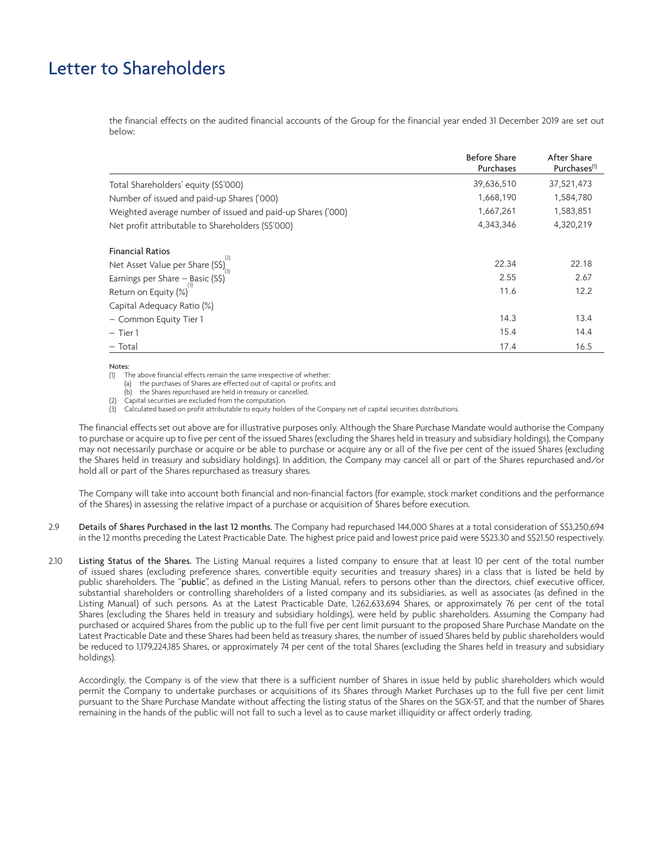the financial effects on the audited financial accounts of the Group for the financial year ended 31 December 2019 are set out below:

|                                                             | <b>Before Share</b><br>Purchases | After Share<br>Purchases <sup>(1)</sup> |
|-------------------------------------------------------------|----------------------------------|-----------------------------------------|
| Total Shareholders' equity (S\$'000)                        | 39,636,510                       | 37,521,473                              |
| Number of issued and paid-up Shares ('000)                  | 1,668,190                        | 1,584,780                               |
| Weighted average number of issued and paid-up Shares ('000) | 1,667,261                        | 1,583,851                               |
| Net profit attributable to Shareholders (S\$'000)           | 4,343,346                        | 4,320,219                               |
| <b>Financial Ratios</b>                                     |                                  |                                         |
| Net Asset Value per Share (S\$) $\int_{\alpha}^{2}$         | 22.34                            | 22.18                                   |
| Earnings per Share $-\beta$ asic (S\$)                      | 2.55                             | 2.67                                    |
| Return on Equity (%)                                        | 11.6                             | 12.2                                    |
| Capital Adequacy Ratio (%)                                  |                                  |                                         |
| - Common Equity Tier 1                                      | 14.3                             | 13.4                                    |
| $-$ Tier 1                                                  | 15.4                             | 14.4                                    |
| - Total                                                     | 17.4                             | 16.5                                    |

#### Notes:

(1) The above financial effects remain the same irrespective of whether:

(a) the purchases of Shares are effected out of capital or profits; and

(b) the Shares repurchased are held in treasury or cancelled.

(2) Capital securities are excluded from the computation.

(3) Calculated based on profit attributable to equity holders of the Company net of capital securities distributions.

The financial effects set out above are for illustrative purposes only. Although the Share Purchase Mandate would authorise the Company to purchase or acquire up to five per cent of the issued Shares (excluding the Shares held in treasury and subsidiary holdings), the Company may not necessarily purchase or acquire or be able to purchase or acquire any or all of the five per cent of the issued Shares (excluding the Shares held in treasury and subsidiary holdings). In addition, the Company may cancel all or part of the Shares repurchased and/or hold all or part of the Shares repurchased as treasury shares.

The Company will take into account both financial and non-financial factors (for example, stock market conditions and the performance of the Shares) in assessing the relative impact of a purchase or acquisition of Shares before execution.

- 2.9 Details of Shares Purchased in the last 12 months. The Company had repurchased 144,000 Shares at a total consideration of S\$3,250,694 in the 12 months preceding the Latest Practicable Date. The highest price paid and lowest price paid were S\$23.30 and S\$21.50 respectively.
- 2.10 Listing Status of the Shares. The Listing Manual requires a listed company to ensure that at least 10 per cent of the total number of issued shares (excluding preference shares, convertible equity securities and treasury shares) in a class that is listed be held by public shareholders. The "public", as defined in the Listing Manual, refers to persons other than the directors, chief executive officer, substantial shareholders or controlling shareholders of a listed company and its subsidiaries, as well as associates (as defined in the Listing Manual) of such persons. As at the Latest Practicable Date, 1,262,633,694 Shares, or approximately 76 per cent of the total Shares (excluding the Shares held in treasury and subsidiary holdings), were held by public shareholders. Assuming the Company had purchased or acquired Shares from the public up to the full five per cent limit pursuant to the proposed Share Purchase Mandate on the Latest Practicable Date and these Shares had been held as treasury shares, the number of issued Shares held by public shareholders would be reduced to 1,179,224,185 Shares, or approximately 74 per cent of the total Shares (excluding the Shares held in treasury and subsidiary holdings).

Accordingly, the Company is of the view that there is a sufficient number of Shares in issue held by public shareholders which would permit the Company to undertake purchases or acquisitions of its Shares through Market Purchases up to the full five per cent limit pursuant to the Share Purchase Mandate without affecting the listing status of the Shares on the SGX-ST, and that the number of Shares remaining in the hands of the public will not fall to such a level as to cause market illiquidity or affect orderly trading.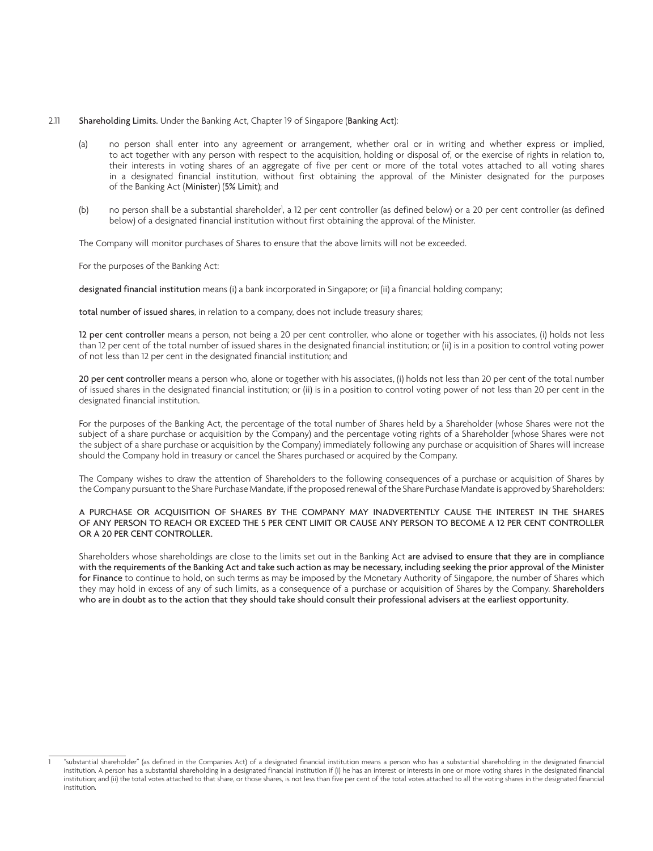### 2.11 Shareholding Limits. Under the Banking Act, Chapter 19 of Singapore (Banking Act):

- (a) no person shall enter into any agreement or arrangement, whether oral or in writing and whether express or implied, to act together with any person with respect to the acquisition, holding or disposal of, or the exercise of rights in relation to, their interests in voting shares of an aggregate of five per cent or more of the total votes attached to all voting shares in a designated financial institution, without first obtaining the approval of the Minister designated for the purposes of the Banking Act (Minister) (5% Limit); and
- (b) on person shall be a substantial shareholder<sup>1</sup>, a 12 per cent controller (as defined below) or a 20 per cent controller (as defined below) of a designated financial institution without first obtaining the approval of the Minister.

The Company will monitor purchases of Shares to ensure that the above limits will not be exceeded.

For the purposes of the Banking Act:

designated financial institution means (i) a bank incorporated in Singapore; or (ii) a financial holding company;

total number of issued shares, in relation to a company, does not include treasury shares;

12 per cent controller means a person, not being a 20 per cent controller, who alone or together with his associates, (i) holds not less than 12 per cent of the total number of issued shares in the designated financial institution; or (ii) is in a position to control voting power of not less than 12 per cent in the designated financial institution; and

20 per cent controller means a person who, alone or together with his associates, (i) holds not less than 20 per cent of the total number of issued shares in the designated financial institution; or (ii) is in a position to control voting power of not less than 20 per cent in the designated financial institution.

For the purposes of the Banking Act, the percentage of the total number of Shares held by a Shareholder (whose Shares were not the subject of a share purchase or acquisition by the Company) and the percentage voting rights of a Shareholder (whose Shares were not the subject of a share purchase or acquisition by the Company) immediately following any purchase or acquisition of Shares will increase should the Company hold in treasury or cancel the Shares purchased or acquired by the Company.

The Company wishes to draw the attention of Shareholders to the following consequences of a purchase or acquisition of Shares by the Company pursuant to the Share Purchase Mandate, if the proposed renewal of the Share Purchase Mandate is approved by Shareholders:

# A PURCHASE OR ACQUISITION OF SHARES BY THE COMPANY MAY INADVERTENTLY CAUSE THE INTEREST IN THE SHARES OF ANY PERSON TO REACH OR EXCEED THE 5 PER CENT LIMIT OR CAUSE ANY PERSON TO BECOME A 12 PER CENT CONTROLLER OR A 20 PER CENT CONTROLLER.

Shareholders whose shareholdings are close to the limits set out in the Banking Act are advised to ensure that they are in compliance with the requirements of the Banking Act and take such action as may be necessary, including seeking the prior approval of the Minister for Finance to continue to hold, on such terms as may be imposed by the Monetary Authority of Singapore, the number of Shares which they may hold in excess of any of such limits, as a consequence of a purchase or acquisition of Shares by the Company. Shareholders who are in doubt as to the action that they should take should consult their professional advisers at the earliest opportunity.

<sup>1</sup> "substantial shareholder" (as defined in the Companies Act) of a designated financial institution means a person who has a substantial shareholding in the designated financial institution. A person has a substantial shareholding in a designated financial institution if (i) he has an interest or interests in one or more voting shares in the designated financial institution; and (ii) the total votes attached to that share, or those shares, is not less than five per cent of the total votes attached to all the voting shares in the designated financial institution.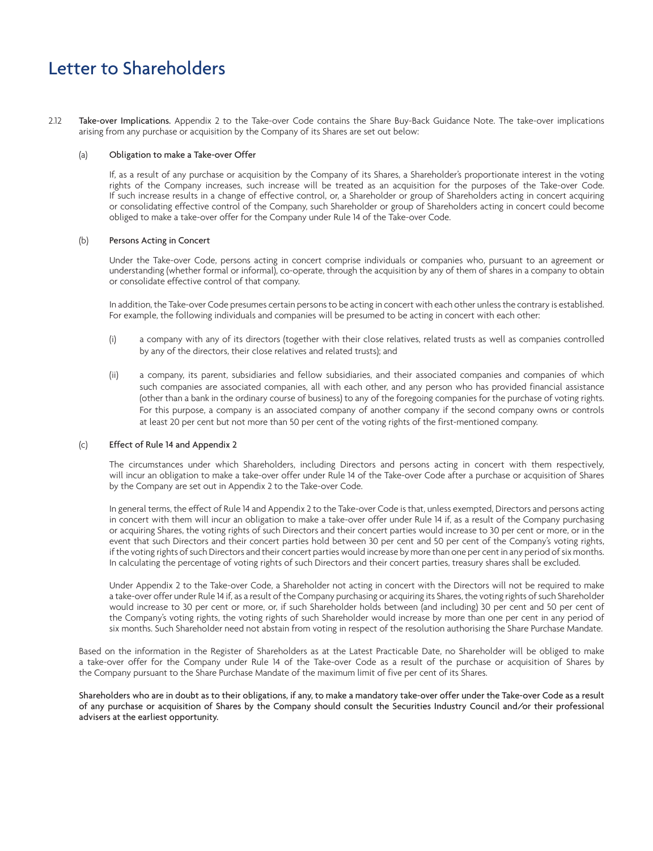2.12 Take-over Implications. Appendix 2 to the Take-over Code contains the Share Buy-Back Guidance Note. The take-over implications arising from any purchase or acquisition by the Company of its Shares are set out below:

#### (a) Obligation to make a Take-over Offer

If, as a result of any purchase or acquisition by the Company of its Shares, a Shareholder's proportionate interest in the voting rights of the Company increases, such increase will be treated as an acquisition for the purposes of the Take-over Code. If such increase results in a change of effective control, or, a Shareholder or group of Shareholders acting in concert acquiring or consolidating effective control of the Company, such Shareholder or group of Shareholders acting in concert could become obliged to make a take-over offer for the Company under Rule 14 of the Take-over Code.

## (b) Persons Acting in Concert

Under the Take-over Code, persons acting in concert comprise individuals or companies who, pursuant to an agreement or understanding (whether formal or informal), co-operate, through the acquisition by any of them of shares in a company to obtain or consolidate effective control of that company.

In addition, the Take-over Code presumes certain persons to be acting in concert with each other unless the contrary is established. For example, the following individuals and companies will be presumed to be acting in concert with each other:

- (i) a company with any of its directors (together with their close relatives, related trusts as well as companies controlled by any of the directors, their close relatives and related trusts); and
- (ii) a company, its parent, subsidiaries and fellow subsidiaries, and their associated companies and companies of which such companies are associated companies, all with each other, and any person who has provided financial assistance (other than a bank in the ordinary course of business) to any of the foregoing companies for the purchase of voting rights. For this purpose, a company is an associated company of another company if the second company owns or controls at least 20 per cent but not more than 50 per cent of the voting rights of the first-mentioned company.

## (c) Effect of Rule 14 and Appendix 2

The circumstances under which Shareholders, including Directors and persons acting in concert with them respectively, will incur an obligation to make a take-over offer under Rule 14 of the Take-over Code after a purchase or acquisition of Shares by the Company are set out in Appendix 2 to the Take-over Code.

In general terms, the effect of Rule 14 and Appendix 2 to the Take-over Code is that, unless exempted, Directors and persons acting in concert with them will incur an obligation to make a take-over offer under Rule 14 if, as a result of the Company purchasing or acquiring Shares, the voting rights of such Directors and their concert parties would increase to 30 per cent or more, or in the event that such Directors and their concert parties hold between 30 per cent and 50 per cent of the Company's voting rights, if the voting rights of such Directors and their concert parties would increase by more than one per cent in any period of six months. In calculating the percentage of voting rights of such Directors and their concert parties, treasury shares shall be excluded.

Under Appendix 2 to the Take-over Code, a Shareholder not acting in concert with the Directors will not be required to make a take-over offer under Rule 14 if, as a result of the Company purchasing or acquiring its Shares, the voting rights of such Shareholder would increase to 30 per cent or more, or, if such Shareholder holds between (and including) 30 per cent and 50 per cent of the Company's voting rights, the voting rights of such Shareholder would increase by more than one per cent in any period of six months. Such Shareholder need not abstain from voting in respect of the resolution authorising the Share Purchase Mandate.

Based on the information in the Register of Shareholders as at the Latest Practicable Date, no Shareholder will be obliged to make a take-over offer for the Company under Rule 14 of the Take-over Code as a result of the purchase or acquisition of Shares by the Company pursuant to the Share Purchase Mandate of the maximum limit of five per cent of its Shares.

Shareholders who are in doubt as to their obligations, if any, to make a mandatory take-over offer under the Take-over Code as a result of any purchase or acquisition of Shares by the Company should consult the Securities Industry Council and/or their professional advisers at the earliest opportunity.